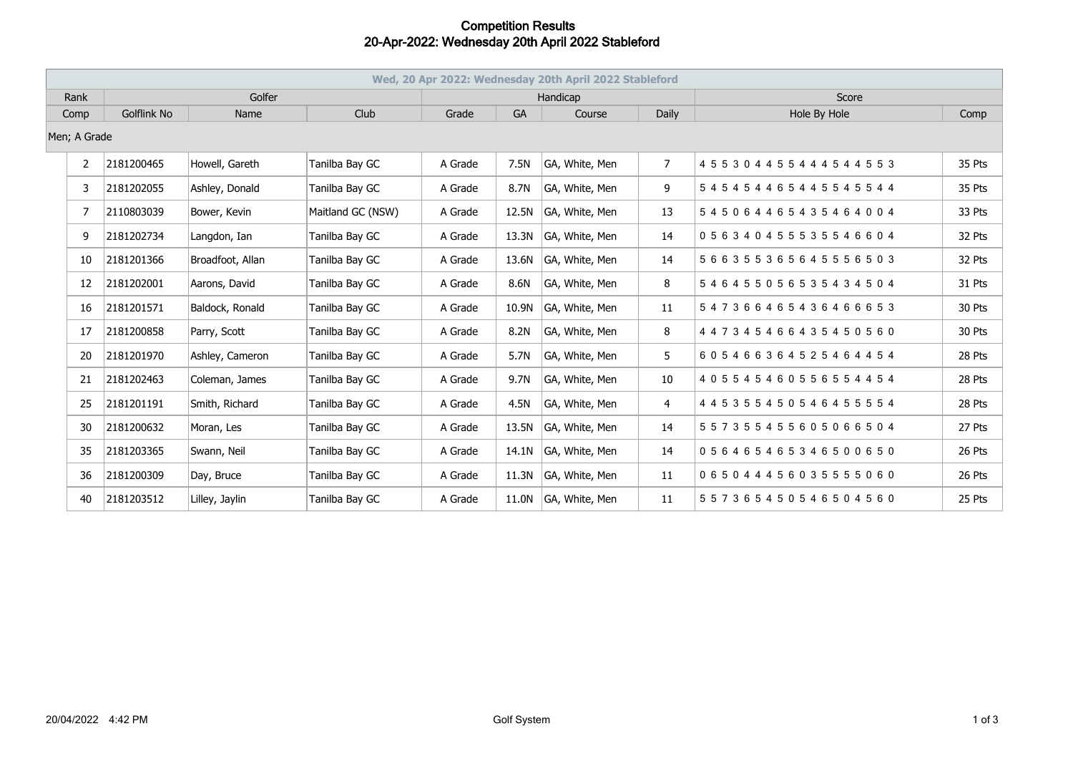## **Competition Results 20-Apr-2022: Wednesday 20th April 2022 Stableford**

| Wed, 20 Apr 2022: Wednesday 20th April 2022 Stableford |             |                  |                   |          |       |                |                |                                     |        |  |
|--------------------------------------------------------|-------------|------------------|-------------------|----------|-------|----------------|----------------|-------------------------------------|--------|--|
| Rank                                                   | Golfer      |                  |                   | Handicap |       |                |                | Score                               |        |  |
| Comp                                                   | Golflink No | Name             | Club              | Grade    | GA    | Course         | Daily          | Hole By Hole                        | Comp   |  |
| Men; A Grade                                           |             |                  |                   |          |       |                |                |                                     |        |  |
| 2                                                      | 2181200465  | Howell, Gareth   | Tanilba Bay GC    | A Grade  | 7.5N  | GA, White, Men | $\overline{7}$ | 4 5 5 3 0 4 4 5 5 4 4 4 5 4 4 5 5 3 | 35 Pts |  |
| 3                                                      | 2181202055  | Ashley, Donald   | Tanilba Bay GC    | A Grade  | 8.7N  | GA, White, Men | 9              | 545454465445545544                  | 35 Pts |  |
| 7                                                      | 2110803039  | Bower, Kevin     | Maitland GC (NSW) | A Grade  | 12.5N | GA, White, Men | 13             | 545064465435464004                  | 33 Pts |  |
| 9                                                      | 2181202734  | Langdon, Ian     | Tanilba Bay GC    | A Grade  | 13.3N | GA, White, Men | 14             | 056340455535546604                  | 32 Pts |  |
| 10                                                     | 2181201366  | Broadfoot, Allan | Tanilba Bay GC    | A Grade  | 13.6N | GA, White, Men | 14             | 566355365645556503                  | 32 Pts |  |
| 12                                                     | 2181202001  | Aarons, David    | Tanilba Bay GC    | A Grade  | 8.6N  | GA, White, Men | 8              | 546455056535434504                  | 31 Pts |  |
| 16                                                     | 2181201571  | Baldock, Ronald  | Tanilba Bay GC    | A Grade  | 10.9N | GA, White, Men | 11             | 547366465436466653                  | 30 Pts |  |
| 17                                                     | 2181200858  | Parry, Scott     | Tanilba Bay GC    | A Grade  | 8.2N  | GA, White, Men | 8              | 4 4 7 3 4 5 4 6 6 4 3 5 4 5 0 5 6 0 | 30 Pts |  |
| 20                                                     | 2181201970  | Ashley, Cameron  | Tanilba Bay GC    | A Grade  | 5.7N  | GA, White, Men | 5              | 605466364525464454                  | 28 Pts |  |
| 21                                                     | 2181202463  | Coleman, James   | Tanilba Bay GC    | A Grade  | 9.7N  | GA, White, Men | 10             | 405545460556554454                  | 28 Pts |  |
| 25                                                     | 2181201191  | Smith, Richard   | Tanilba Bay GC    | A Grade  | 4.5N  | GA, White, Men | 4              | 4 4 5 3 5 5 4 5 0 5 4 6 4 5 5 5 5 4 | 28 Pts |  |
| 30                                                     | 2181200632  | Moran, Les       | Tanilba Bay GC    | A Grade  | 13.5N | GA, White, Men | 14             | 557355455605066504                  | 27 Pts |  |
| 35                                                     | 2181203365  | Swann, Neil      | Tanilba Bay GC    | A Grade  | 14.1N | GA, White, Men | 14             | 056465465346500650                  | 26 Pts |  |
| 36                                                     | 2181200309  | Day, Bruce       | Tanilba Bay GC    | A Grade  | 11.3N | GA, White, Men | 11             | 065044456035555060                  | 26 Pts |  |
| 40                                                     | 2181203512  | Lilley, Jaylin   | Tanilba Bay GC    | A Grade  | 11.0N | GA, White, Men | 11             | 557365450546504560                  | 25 Pts |  |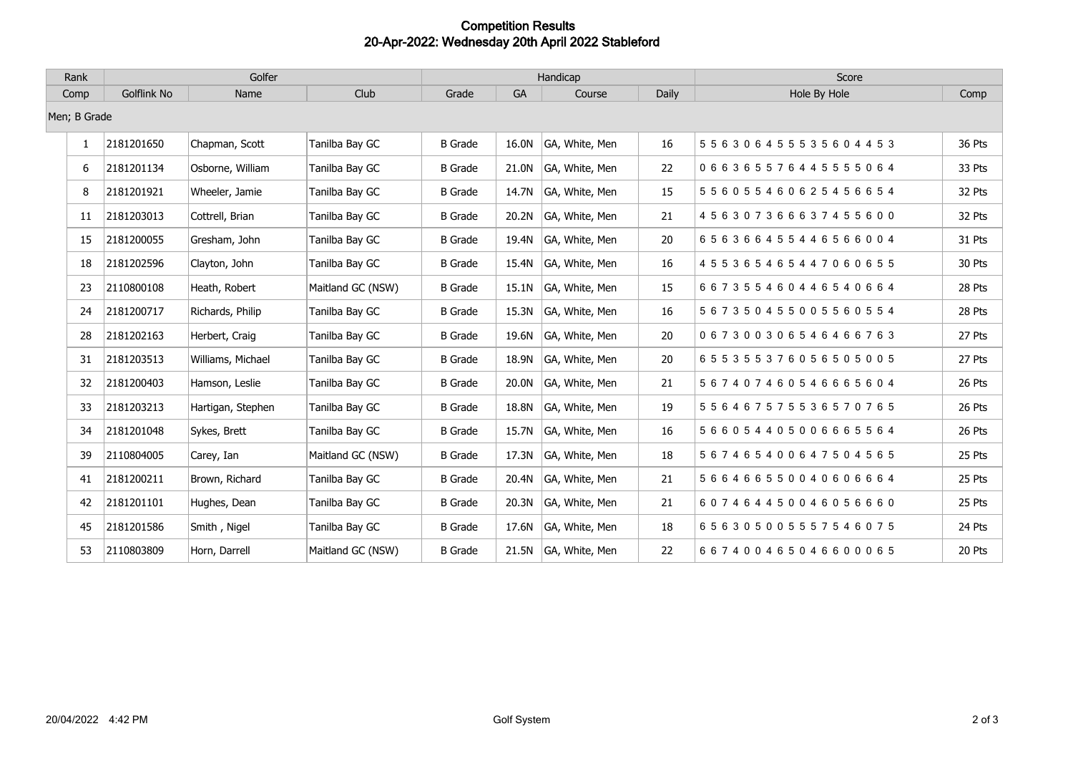## **Competition Results 20-Apr-2022: Wednesday 20th April 2022 Stableford**

| Rank         | Golfer             |                   |                   | Handicap       |           |                      |       | Score              |        |
|--------------|--------------------|-------------------|-------------------|----------------|-----------|----------------------|-------|--------------------|--------|
| Comp         | <b>Golflink No</b> | Name              | Club              | Grade          | <b>GA</b> | Course               | Daily | Hole By Hole       | Comp   |
|              | Men; B Grade       |                   |                   |                |           |                      |       |                    |        |
| $\mathbf{1}$ | 2181201650         | Chapman, Scott    | Tanilba Bay GC    | <b>B</b> Grade | 16.0N     | GA, White, Men       | 16    | 556306455535604453 | 36 Pts |
| 6            | 2181201134         | Osborne, William  | Tanilba Bay GC    | <b>B</b> Grade | 21.0N     | GA, White, Men       | 22    | 066365576445555064 | 33 Pts |
| 8            | 2181201921         | Wheeler, Jamie    | Tanilba Bay GC    | <b>B</b> Grade | 14.7N     | GA, White, Men       | 15    | 556055460625456654 | 32 Pts |
| 11           | 2181203013         | Cottrell, Brian   | Tanilba Bay GC    | <b>B</b> Grade | 20.2N     | GA, White, Men       | 21    | 456307366637455600 | 32 Pts |
| 15           | 2181200055         | Gresham, John     | Tanilba Bay GC    | <b>B</b> Grade | 19.4N     | GA, White, Men       | 20    | 656366455446566004 | 31 Pts |
| 18           | 2181202596         | Clayton, John     | Tanilba Bay GC    | <b>B</b> Grade | 15.4N     | GA, White, Men       | 16    | 455365465447060655 | 30 Pts |
| 23           | 2110800108         | Heath, Robert     | Maitland GC (NSW) | <b>B</b> Grade | 15.1N     | GA, White, Men       | 15    | 667355460446540664 | 28 Pts |
| 24           | 2181200717         | Richards, Philip  | Tanilba Bay GC    | <b>B</b> Grade | 15.3N     | GA, White, Men       | 16    | 567350455005560554 | 28 Pts |
| 28           | 2181202163         | Herbert, Craig    | Tanilba Bay GC    | <b>B</b> Grade | 19.6N     | GA, White, Men       | 20    | 067300306546466763 | 27 Pts |
| 31           | 2181203513         | Williams, Michael | Tanilba Bay GC    | <b>B</b> Grade | 18.9N     | GA, White, Men       | 20    | 655355376056505005 | 27 Pts |
| 32           | 2181200403         | Hamson, Leslie    | Tanilba Bay GC    | <b>B</b> Grade | 20.0N     | GA, White, Men       | 21    | 567407460546665604 | 26 Pts |
| 33           | 2181203213         | Hartigan, Stephen | Tanilba Bay GC    | <b>B</b> Grade | 18.8N     | GA, White, Men       | 19    | 556467575536570765 | 26 Pts |
| 34           | 2181201048         | Sykes, Brett      | Tanilba Bay GC    | <b>B</b> Grade | 15.7N     | GA, White, Men       | 16    | 566054405006665564 | 26 Pts |
| 39           | 2110804005         | Carey, Ian        | Maitland GC (NSW) | <b>B</b> Grade | 17.3N     | GA, White, Men       | 18    | 567465400647504565 | 25 Pts |
| 41           | 2181200211         | Brown, Richard    | Tanilba Bay GC    | <b>B</b> Grade | 20.4N     | GA, White, Men       | 21    | 566466550040606664 | 25 Pts |
| 42           | 2181201101         | Hughes, Dean      | Tanilba Bay GC    | <b>B</b> Grade | 20.3N     | GA, White, Men       | 21    | 607464450046056660 | 25 Pts |
| 45           | 2181201586         | Smith, Nigel      | Tanilba Bay GC    | <b>B</b> Grade | 17.6N     | GA, White, Men       | 18    | 656305005557546075 | 24 Pts |
| 53           | 2110803809         | Horn, Darrell     | Maitland GC (NSW) | <b>B</b> Grade |           | 21.5N GA, White, Men | 22    | 667400465046600065 | 20 Pts |